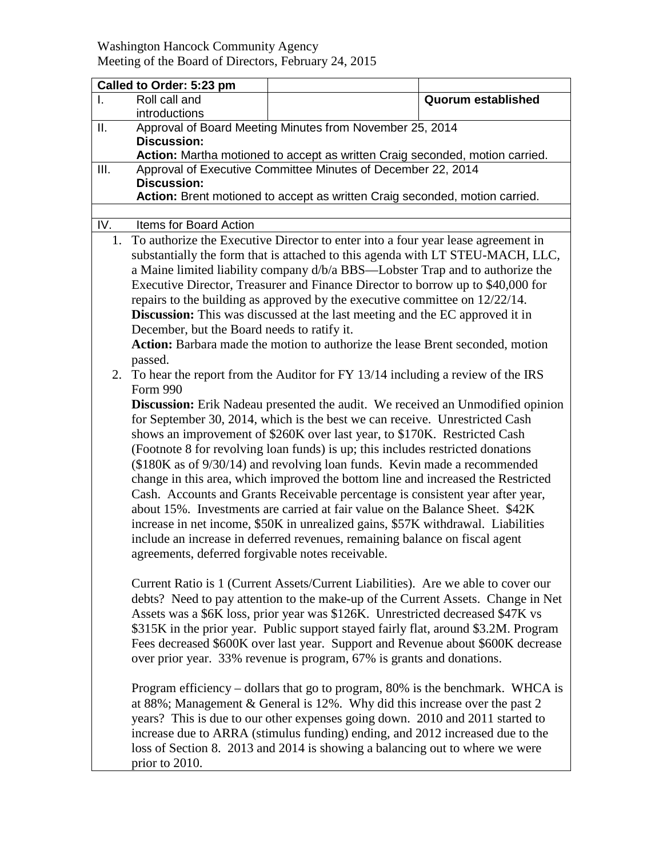## Washington Hancock Community Agency Meeting of the Board of Directors, February 24, 2015

|      | Called to Order: 5:23 pm                                                                                                                                                                                                                                                                                                                                                                                                                                                                                                                                                                                                                                                                                                                                                                                                                                                                 |                                                                                                                                                                                                                                                                                                                                                                                                                                                                                                            |                           |  |  |
|------|------------------------------------------------------------------------------------------------------------------------------------------------------------------------------------------------------------------------------------------------------------------------------------------------------------------------------------------------------------------------------------------------------------------------------------------------------------------------------------------------------------------------------------------------------------------------------------------------------------------------------------------------------------------------------------------------------------------------------------------------------------------------------------------------------------------------------------------------------------------------------------------|------------------------------------------------------------------------------------------------------------------------------------------------------------------------------------------------------------------------------------------------------------------------------------------------------------------------------------------------------------------------------------------------------------------------------------------------------------------------------------------------------------|---------------------------|--|--|
|      | Roll call and<br>introductions                                                                                                                                                                                                                                                                                                                                                                                                                                                                                                                                                                                                                                                                                                                                                                                                                                                           |                                                                                                                                                                                                                                                                                                                                                                                                                                                                                                            | <b>Quorum established</b> |  |  |
| II.  |                                                                                                                                                                                                                                                                                                                                                                                                                                                                                                                                                                                                                                                                                                                                                                                                                                                                                          | Approval of Board Meeting Minutes from November 25, 2014                                                                                                                                                                                                                                                                                                                                                                                                                                                   |                           |  |  |
|      | <b>Discussion:</b><br>Action: Martha motioned to accept as written Craig seconded, motion carried.                                                                                                                                                                                                                                                                                                                                                                                                                                                                                                                                                                                                                                                                                                                                                                                       |                                                                                                                                                                                                                                                                                                                                                                                                                                                                                                            |                           |  |  |
| III. |                                                                                                                                                                                                                                                                                                                                                                                                                                                                                                                                                                                                                                                                                                                                                                                                                                                                                          | Approval of Executive Committee Minutes of December 22, 2014                                                                                                                                                                                                                                                                                                                                                                                                                                               |                           |  |  |
|      | <b>Discussion:</b>                                                                                                                                                                                                                                                                                                                                                                                                                                                                                                                                                                                                                                                                                                                                                                                                                                                                       |                                                                                                                                                                                                                                                                                                                                                                                                                                                                                                            |                           |  |  |
|      | Action: Brent motioned to accept as written Craig seconded, motion carried.                                                                                                                                                                                                                                                                                                                                                                                                                                                                                                                                                                                                                                                                                                                                                                                                              |                                                                                                                                                                                                                                                                                                                                                                                                                                                                                                            |                           |  |  |
|      |                                                                                                                                                                                                                                                                                                                                                                                                                                                                                                                                                                                                                                                                                                                                                                                                                                                                                          |                                                                                                                                                                                                                                                                                                                                                                                                                                                                                                            |                           |  |  |
| IV.  | Items for Board Action                                                                                                                                                                                                                                                                                                                                                                                                                                                                                                                                                                                                                                                                                                                                                                                                                                                                   |                                                                                                                                                                                                                                                                                                                                                                                                                                                                                                            |                           |  |  |
| 1.   | To authorize the Executive Director to enter into a four year lease agreement in                                                                                                                                                                                                                                                                                                                                                                                                                                                                                                                                                                                                                                                                                                                                                                                                         |                                                                                                                                                                                                                                                                                                                                                                                                                                                                                                            |                           |  |  |
|      | substantially the form that is attached to this agenda with LT STEU-MACH, LLC,                                                                                                                                                                                                                                                                                                                                                                                                                                                                                                                                                                                                                                                                                                                                                                                                           |                                                                                                                                                                                                                                                                                                                                                                                                                                                                                                            |                           |  |  |
|      | a Maine limited liability company d/b/a BBS—Lobster Trap and to authorize the                                                                                                                                                                                                                                                                                                                                                                                                                                                                                                                                                                                                                                                                                                                                                                                                            |                                                                                                                                                                                                                                                                                                                                                                                                                                                                                                            |                           |  |  |
|      | Executive Director, Treasurer and Finance Director to borrow up to \$40,000 for                                                                                                                                                                                                                                                                                                                                                                                                                                                                                                                                                                                                                                                                                                                                                                                                          |                                                                                                                                                                                                                                                                                                                                                                                                                                                                                                            |                           |  |  |
|      | repairs to the building as approved by the executive committee on $12/22/14$ .                                                                                                                                                                                                                                                                                                                                                                                                                                                                                                                                                                                                                                                                                                                                                                                                           |                                                                                                                                                                                                                                                                                                                                                                                                                                                                                                            |                           |  |  |
|      | Discussion: This was discussed at the last meeting and the EC approved it in                                                                                                                                                                                                                                                                                                                                                                                                                                                                                                                                                                                                                                                                                                                                                                                                             |                                                                                                                                                                                                                                                                                                                                                                                                                                                                                                            |                           |  |  |
|      | December, but the Board needs to ratify it.                                                                                                                                                                                                                                                                                                                                                                                                                                                                                                                                                                                                                                                                                                                                                                                                                                              |                                                                                                                                                                                                                                                                                                                                                                                                                                                                                                            |                           |  |  |
|      | Action: Barbara made the motion to authorize the lease Brent seconded, motion                                                                                                                                                                                                                                                                                                                                                                                                                                                                                                                                                                                                                                                                                                                                                                                                            |                                                                                                                                                                                                                                                                                                                                                                                                                                                                                                            |                           |  |  |
|      | passed.                                                                                                                                                                                                                                                                                                                                                                                                                                                                                                                                                                                                                                                                                                                                                                                                                                                                                  |                                                                                                                                                                                                                                                                                                                                                                                                                                                                                                            |                           |  |  |
| 2.   | To hear the report from the Auditor for FY 13/14 including a review of the IRS                                                                                                                                                                                                                                                                                                                                                                                                                                                                                                                                                                                                                                                                                                                                                                                                           |                                                                                                                                                                                                                                                                                                                                                                                                                                                                                                            |                           |  |  |
|      | Form 990                                                                                                                                                                                                                                                                                                                                                                                                                                                                                                                                                                                                                                                                                                                                                                                                                                                                                 |                                                                                                                                                                                                                                                                                                                                                                                                                                                                                                            |                           |  |  |
|      | Discussion: Erik Nadeau presented the audit. We received an Unmodified opinion<br>for September 30, 2014, which is the best we can receive. Unrestricted Cash<br>shows an improvement of \$260K over last year, to \$170K. Restricted Cash<br>(Footnote 8 for revolving loan funds) is up; this includes restricted donations<br>(\$180K as of 9/30/14) and revolving loan funds. Kevin made a recommended<br>change in this area, which improved the bottom line and increased the Restricted<br>Cash. Accounts and Grants Receivable percentage is consistent year after year,<br>about 15%. Investments are carried at fair value on the Balance Sheet. \$42K<br>increase in net income, \$50K in unrealized gains, \$57K withdrawal. Liabilities<br>include an increase in deferred revenues, remaining balance on fiscal agent<br>agreements, deferred forgivable notes receivable. |                                                                                                                                                                                                                                                                                                                                                                                                                                                                                                            |                           |  |  |
|      |                                                                                                                                                                                                                                                                                                                                                                                                                                                                                                                                                                                                                                                                                                                                                                                                                                                                                          | Current Ratio is 1 (Current Assets/Current Liabilities). Are we able to cover our<br>debts? Need to pay attention to the make-up of the Current Assets. Change in Net<br>Assets was a \$6K loss, prior year was \$126K. Unrestricted decreased \$47K vs<br>\$315K in the prior year. Public support stayed fairly flat, around \$3.2M. Program<br>Fees decreased \$600K over last year. Support and Revenue about \$600K decrease<br>over prior year. 33% revenue is program, 67% is grants and donations. |                           |  |  |
|      | prior to 2010.                                                                                                                                                                                                                                                                                                                                                                                                                                                                                                                                                                                                                                                                                                                                                                                                                                                                           | Program efficiency – dollars that go to program, 80% is the benchmark. WHCA is<br>at 88%; Management & General is 12%. Why did this increase over the past 2<br>years? This is due to our other expenses going down. 2010 and 2011 started to<br>increase due to ARRA (stimulus funding) ending, and 2012 increased due to the<br>loss of Section 8. 2013 and 2014 is showing a balancing out to where we were                                                                                             |                           |  |  |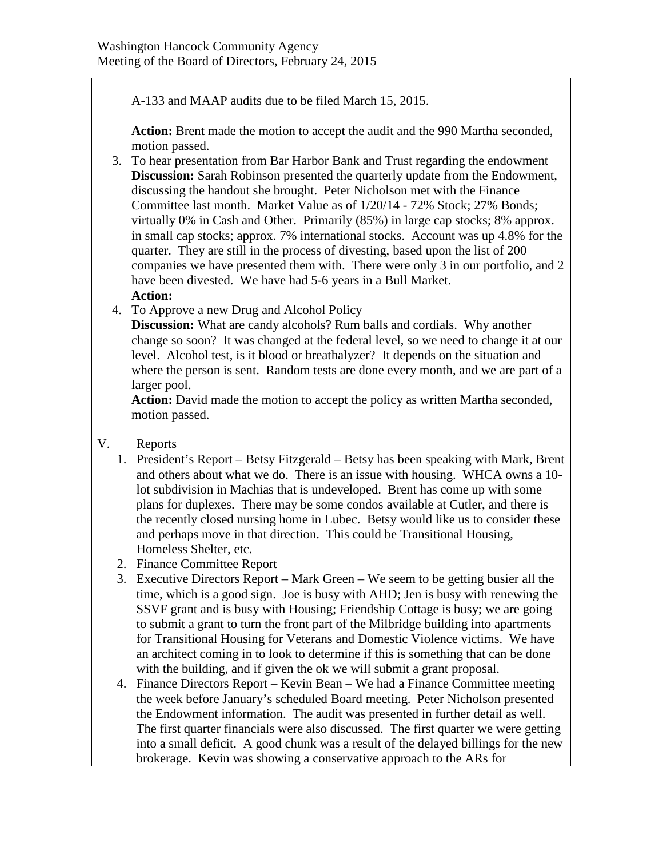A-133 and MAAP audits due to be filed March 15, 2015.

**Action:** Brent made the motion to accept the audit and the 990 Martha seconded, motion passed.

- 3. To hear presentation from Bar Harbor Bank and Trust regarding the endowment **Discussion:** Sarah Robinson presented the quarterly update from the Endowment, discussing the handout she brought. Peter Nicholson met with the Finance Committee last month. Market Value as of 1/20/14 - 72% Stock; 27% Bonds; virtually 0% in Cash and Other. Primarily (85%) in large cap stocks; 8% approx. in small cap stocks; approx. 7% international stocks. Account was up 4.8% for the quarter. They are still in the process of divesting, based upon the list of 200 companies we have presented them with. There were only 3 in our portfolio, and 2 have been divested. We have had 5-6 years in a Bull Market. **Action:**
- 4. To Approve a new Drug and Alcohol Policy

**Discussion:** What are candy alcohols? Rum balls and cordials. Why another change so soon? It was changed at the federal level, so we need to change it at our level. Alcohol test, is it blood or breathalyzer? It depends on the situation and where the person is sent. Random tests are done every month, and we are part of a larger pool.

Action: David made the motion to accept the policy as written Martha seconded, motion passed.

## V. Reports

- 1. President's Report Betsy Fitzgerald Betsy has been speaking with Mark, Brent and others about what we do. There is an issue with housing. WHCA owns a 10 lot subdivision in Machias that is undeveloped. Brent has come up with some plans for duplexes. There may be some condos available at Cutler, and there is the recently closed nursing home in Lubec. Betsy would like us to consider these and perhaps move in that direction. This could be Transitional Housing, Homeless Shelter, etc.
	- 2. Finance Committee Report
	- 3. Executive Directors Report Mark Green We seem to be getting busier all the time, which is a good sign. Joe is busy with AHD; Jen is busy with renewing the SSVF grant and is busy with Housing; Friendship Cottage is busy; we are going to submit a grant to turn the front part of the Milbridge building into apartments for Transitional Housing for Veterans and Domestic Violence victims. We have an architect coming in to look to determine if this is something that can be done with the building, and if given the ok we will submit a grant proposal.
	- 4. Finance Directors Report Kevin Bean We had a Finance Committee meeting the week before January's scheduled Board meeting. Peter Nicholson presented the Endowment information. The audit was presented in further detail as well. The first quarter financials were also discussed. The first quarter we were getting into a small deficit. A good chunk was a result of the delayed billings for the new brokerage. Kevin was showing a conservative approach to the ARs for